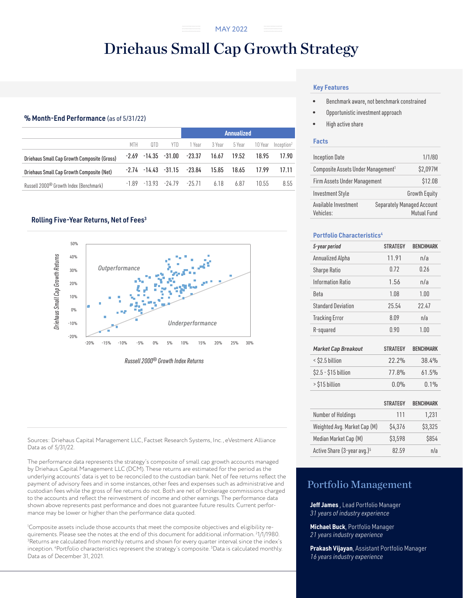#### ..............<br>.............. MAY 2022

# Driehaus Small Cap Growth Strategy

# % Month-End Performance (as of 5/31/22)

|                                                    |     |      |      | <b>Annualized</b>                  |        |        |         |                        |
|----------------------------------------------------|-----|------|------|------------------------------------|--------|--------|---------|------------------------|
|                                                    | MTH | OTD. | YIII | 1 Year                             | 3 Year | 5 Year | 10 Year | Inception <sup>2</sup> |
| Driehaus Small Cap Growth Composite (Gross)        |     |      |      | $-2.69$ $-14.35$ $-31.00$ $-23.37$ | 16.67  | 19.52  | 18.95   | 17.90                  |
| Driehaus Small Cap Growth Composite (Net)          |     |      |      | $-2.74$ $-14.43$ $-31.15$ $-23.84$ | 15.85  | 18.65  | 17.99   | 17.11                  |
| Russell 2000 <sup>®</sup> Growth Index (Benchmark) |     |      |      | $-189$ $-1393$ $-2479$ $-2571$     | 618    | 6.87   | 10.55   | 8.55                   |

# Rolling Five-Year Returns, Net of Fees<sup>3</sup>



*Russell 2000® Growth Index Returns*

Sources: Driehaus Capital Management LLC, Factset Research Systems, Inc., eVestment Alliance Data as of 5/31/22.

The performance data represents the strategy's composite of small cap growth accounts managed by Driehaus Capital Management LLC (DCM). These returns are estimated for the period as the underlying accounts' data is yet to be reconciled to the custodian bank. Net of fee returns reflect the payment of advisory fees and in some instances, other fees and expenses such as administrative and custodian fees while the gross of fee returns do not. Both are net of brokerage commissions charged to the accounts and reflect the reinvestment of income and other earnings. The performance data shown above represents past performance and does not guarantee future results. Current performance may be lower or higher than the performance data quoted.

1 Composite assets include those accounts that meet the composite objectives and eligibility requirements. Please see the notes at the end of this document for additional information. <sup>2</sup>1/1/1980.<br><sup>3</sup>Returns are calculated from monthly returns and shown for every quarter interval since the index's <sup>3</sup>Returns are calculated from monthly returns and shown for every quarter interval since the index's inception. 4 Portfolio characteristics represent the strategy's composite. 5 Data is calculated monthly. Data as of December 31, 2021.

# **Key Features**

- Benchmark aware, not benchmark constrained
- Opportunistic investment approach
- High active share

# **Facts**

| <b>Inception Date</b>                          | 1/1/80                                           |  |  |  |
|------------------------------------------------|--------------------------------------------------|--|--|--|
| Composite Assets Under Management <sup>1</sup> | \$2,097M                                         |  |  |  |
| Firm Assets Under Management                   | \$12.0B                                          |  |  |  |
| <b>Investment Style</b>                        | <b>Growth Equity</b>                             |  |  |  |
| Available Investment<br>Vehicles:              | <b>Separately Managed Account</b><br>Mutual Fund |  |  |  |

# **Portfolio Characteristics4**

| 5-year period              | <b>STRATEGY</b> | <b>BENCHMARK</b> |  |
|----------------------------|-----------------|------------------|--|
| Annualized Alpha           | 11.91           | n/a              |  |
| Sharpe Ratio               | 0.72            | 0.26             |  |
| Information Ratio          | 1.56            | n/a              |  |
| Beta                       | 1.08            | 1.00             |  |
| <b>Standard Deviation</b>  | 25.54           | 22.47            |  |
| <b>Tracking Error</b>      | 8.09            | n/a              |  |
| R-squared                  | 0.90            | 1.00             |  |
|                            |                 |                  |  |
| <b>Market Cap Breakout</b> | <b>STRATFGY</b> | <b>BENCHMARK</b> |  |
| $<$ \$2.5 billion          | 22.2%           | 38.4%            |  |
| \$2.5 - \$15 billion       | 77.8%           | 61.5%            |  |
| > \$15 billion             | 0.0%            | 0.1%             |  |
|                            | <b>STRATEGY</b> | <b>BENCHMARK</b> |  |

|                                         | <b>STRATEGY</b> | <b>BENCHMARK</b> |
|-----------------------------------------|-----------------|------------------|
| Number of Holdings                      | 111             | 1,231            |
| Weighted Avg. Market Cap (M)            | \$4,376         | \$3,325          |
| Median Market Cap (M)                   | \$3,598         | \$854            |
| Active Share (3-year avg.) <sup>5</sup> | 82.59           | n/a              |

# Portfolio Management

**Jeff James** , Lead Portfolio Manager *31 years of industry experience*

**Michael Buck**, Portfolio Manager *21 years industry experience*

**Prakash Vijayan**, Assistant Portfolio Manager *16 years industry experience*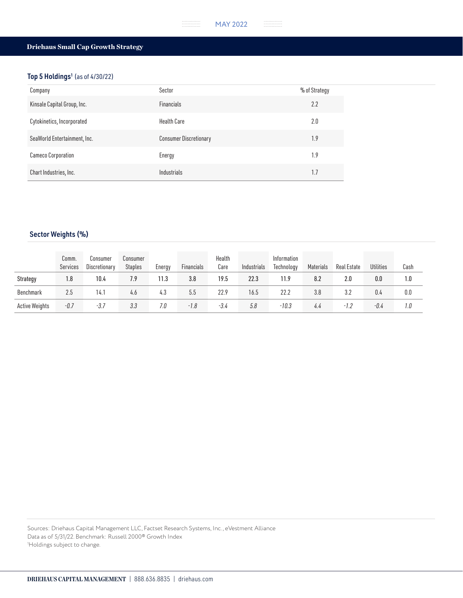#### . . . . . . . .<br>. . . . . . . . .<br>. . . . . . . . MAY 2022

 $\begin{array}{cccccc} . & . & . & . & . & . & . & . & . & . \\ . & . & . & . & . & . & . & . & . \\ . & . & . & . & . & . & . & . & . \end{array}$ 

# Driehaus Small Cap Growth Strategy

# Top 5 Holdings<sup>1</sup> (as of 4/30/22)

| Company                      | Sector                        | % of Strategy |
|------------------------------|-------------------------------|---------------|
| Kinsale Capital Group, Inc.  | <b>Financials</b>             | 2.2           |
| Cytokinetics, Incorporated   | <b>Health Care</b>            | 2.0           |
| SeaWorld Entertainment, Inc. | <b>Consumer Discretionary</b> | 1.9           |
| <b>Cameco Corporation</b>    | Energy                        | 1.9           |
| Chart Industries, Inc.       | Industrials                   | 1.7           |

# Sector Weights (%)

|                       | Comm.<br>Services | Consumer<br>Discretionary | Consumer<br><b>Staples</b> | Energy | Financials | Health<br>Care | Industrials | Information<br>Technology | Materials | Real Estate | <b>Utilities</b> | Cash |
|-----------------------|-------------------|---------------------------|----------------------------|--------|------------|----------------|-------------|---------------------------|-----------|-------------|------------------|------|
| Strategy              | 1.8               | 10.4                      | 7.9                        | 11.3   | 3.8        | 19.5           | 22.3        | 11.9                      | 8.2       | 2.0         | 0.0              | 1.0  |
| Benchmark             | 2.5               | 14.1                      | 4.6                        | 4.3    | 5.5        | 22.9           | 16.5        | 22.2                      | 3.8       | 3.2         | 0.4              | 0.0  |
| <b>Active Weights</b> | $-0.7$            | $-3.7$                    | 3.3                        | 7.0    | $-1.8$     | $-3.4$         | 5.8         | $-10.3$                   | 4.4       | -1.2        | -0.4             | 1.0  |

Sources: Driehaus Capital Management LLC, Factset Research Systems, Inc., eVestment Alliance Data as of 5/31/22. Benchmark: Russell 2000® Growth Index 1 Holdings subject to change.